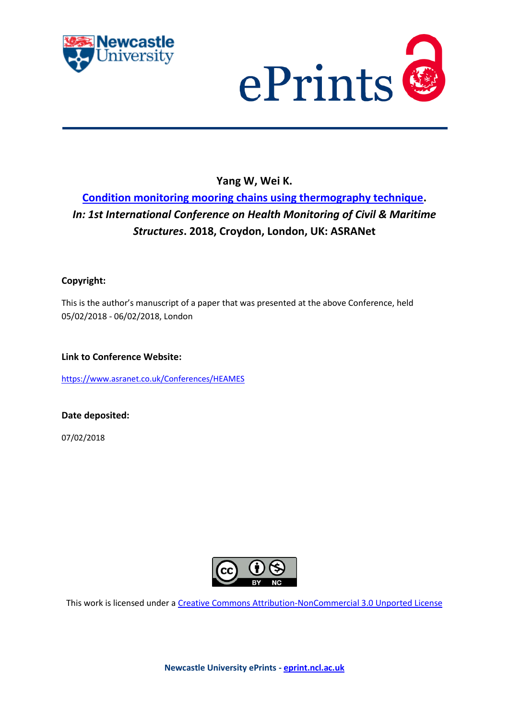



# **Yang W, Wei K.**

# **[Condition monitoring mooring chains using thermography technique.](https://myimpact.ncl.ac.uk/ViewPublication.aspx?id=245880)** *In: 1st International Conference on Health Monitoring of Civil & Maritime Structures***. 2018, Croydon, London, UK: ASRANet**

## **Copyright:**

This is the author's manuscript of a paper that was presented at the above Conference, held 05/02/2018 - 06/02/2018, London

**Link to Conference Website:**

<https://www.asranet.co.uk/Conferences/HEAMES>

**Date deposited:** 

07/02/2018



This work is licensed under a [Creative Commons Attribution-NonCommercial 3.0 Unported License](http://creativecommons.org/licenses/by-nc/3.0/deed.en_GB)

**Newcastle University ePrints - [eprint.ncl.ac.uk](http://eprint.ncl.ac.uk/)**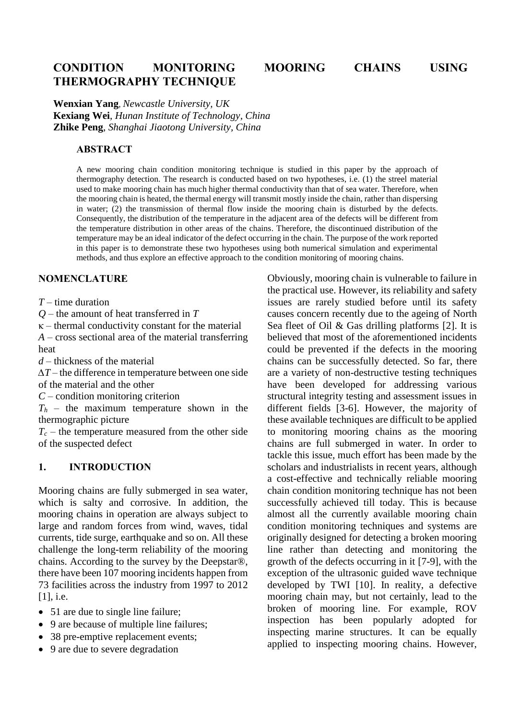# **CONDITION MONITORING MOORING CHAINS USING THERMOGRAPHY TECHNIQUE**

**Wenxian Yang**, *Newcastle University, UK* **Kexiang Wei**, *Hunan Institute of Technology, China* **Zhike Peng**, *Shanghai Jiaotong University, China*

#### **ABSTRACT**

A new mooring chain condition monitoring technique is studied in this paper by the approach of thermography detection. The research is conducted based on two hypotheses, i.e. (1) the streel material used to make mooring chain has much higher thermal conductivity than that of sea water. Therefore, when the mooring chain is heated, the thermal energy will transmit mostly inside the chain, rather than dispersing in water; (2) the transmission of thermal flow inside the mooring chain is disturbed by the defects. Consequently, the distribution of the temperature in the adjacent area of the defects will be different from the temperature distribution in other areas of the chains. Therefore, the discontinued distribution of the temperature may be an ideal indicator of the defect occurring in the chain. The purpose of the work reported in this paper is to demonstrate these two hypotheses using both numerical simulation and experimental methods, and thus explore an effective approach to the condition monitoring of mooring chains.

### **NOMENCLATURE**

*T* – time duration

*Q* – the amount of heat transferred in *T*

 $\kappa$  – thermal conductivity constant for the material

*A* – cross sectional area of the material transferring heat

*d* – thickness of the material

*∆T* – the difference in temperature between one side of the material and the other

*C* – condition monitoring criterion

 $T_h$  – the maximum temperature shown in the thermographic picture

 $T_c$  – the temperature measured from the other side of the suspected defect

#### **1. INTRODUCTION**

Mooring chains are fully submerged in sea water, which is salty and corrosive. In addition, the mooring chains in operation are always subject to large and random forces from wind, waves, tidal currents, tide surge, earthquake and so on. All these challenge the long-term reliability of the mooring chains. According to the survey by the Deepstar®, there have been 107 mooring incidents happen from 73 facilities across the industry from 1997 to 2012 [1], *i.e.* 

- 51 are due to single line failure;
- 9 are because of multiple line failures;
- 38 pre-emptive replacement events;
- 9 are due to severe degradation

Obviously, mooring chain is vulnerable to failure in the practical use. However, its reliability and safety issues are rarely studied before until its safety causes concern recently due to the ageing of North Sea fleet of Oil & Gas drilling platforms [2]. It is believed that most of the aforementioned incidents could be prevented if the defects in the mooring chains can be successfully detected. So far, there are a variety of non-destructive testing techniques have been developed for addressing various structural integrity testing and assessment issues in different fields [3-6]. However, the majority of these available techniques are difficult to be applied to monitoring mooring chains as the mooring chains are full submerged in water. In order to tackle this issue, much effort has been made by the scholars and industrialists in recent years, although a cost-effective and technically reliable mooring chain condition monitoring technique has not been successfully achieved till today. This is because almost all the currently available mooring chain condition monitoring techniques and systems are originally designed for detecting a broken mooring line rather than detecting and monitoring the growth of the defects occurring in it [7-9], with the exception of the ultrasonic guided wave technique developed by TWI [10]. In reality, a defective mooring chain may, but not certainly, lead to the broken of mooring line. For example, ROV inspection has been popularly adopted for inspecting marine structures. It can be equally applied to inspecting mooring chains. However,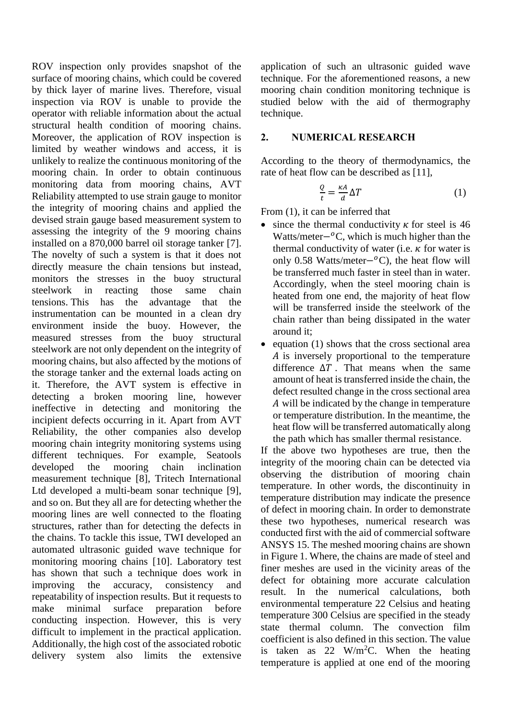ROV inspection only provides snapshot of the surface of mooring chains, which could be covered by thick layer of marine lives. Therefore, visual inspection via ROV is unable to provide the operator with reliable information about the actual structural health condition of mooring chains. Moreover, the application of ROV inspection is limited by weather windows and access, it is unlikely to realize the continuous monitoring of the mooring chain. In order to obtain continuous monitoring data from mooring chains, AVT Reliability attempted to use strain gauge to monitor the integrity of mooring chains and applied the devised strain gauge based measurement system to assessing the integrity of the 9 mooring chains installed on a 870,000 barrel oil storage tanker [7]. The novelty of such a system is that it does not directly measure the chain tensions but instead, monitors the stresses in the buoy structural steelwork in reacting those same chain tensions. This has the advantage that the instrumentation can be mounted in a clean dry environment inside the buoy. However, the measured stresses from the buoy structural steelwork are not only dependent on the integrity of mooring chains, but also affected by the motions of the storage tanker and the external loads acting on it. Therefore, the AVT system is effective in detecting a broken mooring line, however ineffective in detecting and monitoring the incipient defects occurring in it. Apart from AVT Reliability, the other companies also develop mooring chain integrity monitoring systems using different techniques. For example, Seatools developed the mooring chain inclination measurement technique [8], Tritech International Ltd developed a multi-beam sonar technique [9], and so on. But they all are for detecting whether the mooring lines are well connected to the floating structures, rather than for detecting the defects in the chains. To tackle this issue, TWI developed an automated ultrasonic guided wave technique for monitoring mooring chains [10]. Laboratory test has shown that such a technique does work in improving the accuracy, consistency and repeatability of inspection results. But it requests to make minimal surface preparation before conducting inspection. However, this is very difficult to implement in the practical application. Additionally, the high cost of the associated robotic delivery system also limits the extensive

application of such an ultrasonic guided wave technique. For the aforementioned reasons, a new mooring chain condition monitoring technique is studied below with the aid of thermography technique.

#### **2. NUMERICAL RESEARCH**

According to the theory of thermodynamics, the rate of heat flow can be described as [11],

$$
\frac{Q}{t} = \frac{\kappa A}{d} \Delta T \tag{1}
$$

From (1), it can be inferred that

- since the thermal conductivity  $\kappa$  for steel is 46 Watts/meter $-<sup>o</sup>C$ , which is much higher than the thermal conductivity of water (i.e.  $\kappa$  for water is only 0.58 Watts/meter $-$ <sup>o</sup>C), the heat flow will be transferred much faster in steel than in water. Accordingly, when the steel mooring chain is heated from one end, the majority of heat flow will be transferred inside the steelwork of the chain rather than being dissipated in the water around it;
- $\bullet$  equation (1) shows that the cross sectional area A is inversely proportional to the temperature difference  $\Delta T$ . That means when the same amount of heat is transferred inside the chain, the defect resulted change in the cross sectional area will be indicated by the change in temperature or temperature distribution. In the meantime, the heat flow will be transferred automatically along the path which has smaller thermal resistance.

If the above two hypotheses are true, then the integrity of the mooring chain can be detected via observing the distribution of mooring chain temperature. In other words, the discontinuity in temperature distribution may indicate the presence of defect in mooring chain. In order to demonstrate these two hypotheses, numerical research was conducted first with the aid of commercial software ANSYS 15. The meshed mooring chains are shown in Figure 1. Where, the chains are made of steel and finer meshes are used in the vicinity areas of the defect for obtaining more accurate calculation result. In the numerical calculations, both environmental temperature 22 Celsius and heating temperature 300 Celsius are specified in the steady state thermal column. The convection film coefficient is also defined in this section. The value is taken as  $22 \text{ W/m}^2\text{C}$ . When the heating temperature is applied at one end of the mooring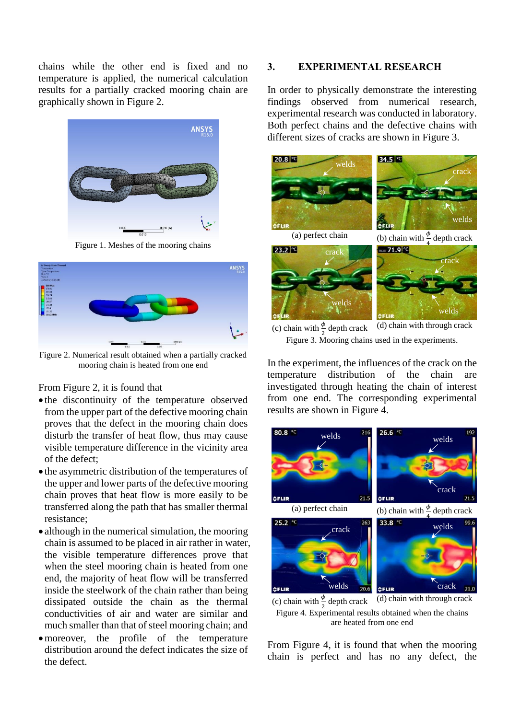chains while the other end is fixed and no temperature is applied, the numerical calculation results for a partially cracked mooring chain are graphically shown in Figure 2.



Figure 1. Meshes of the mooring chains



Figure 2. Numerical result obtained when a partially cracked mooring chain is heated from one end

#### From Figure 2, it is found that

- the discontinuity of the temperature observed from the upper part of the defective mooring chain proves that the defect in the mooring chain does disturb the transfer of heat flow, thus may cause visible temperature difference in the vicinity area of the defect;
- $\bullet$  the asymmetric distribution of the temperatures of the upper and lower parts of the defective mooring chain proves that heat flow is more easily to be transferred along the path that has smaller thermal resistance;
- although in the numerical simulation, the mooring chain is assumed to be placed in air rather in water, the visible temperature differences prove that when the steel mooring chain is heated from one end, the majority of heat flow will be transferred inside the steelwork of the chain rather than being dissipated outside the chain as the thermal conductivities of air and water are similar and much smaller than that of steel mooring chain; and
- moreover, the profile of the temperature distribution around the defect indicates the size of the defect.

#### **3. EXPERIMENTAL RESEARCH**

In order to physically demonstrate the interesting findings observed from numerical research, experimental research was conducted in laboratory. Both perfect chains and the defective chains with different sizes of cracks are shown in Figure 3.



(c) chain with  $\frac{\phi}{2}$  $(d)$  chain with through crack Figure 3. Mooring chains used in the experiments.

In the experiment, the influences of the crack on the temperature distribution of the chain are investigated through heating the chain of interest from one end. The corresponding experimental results are shown in Figure 4.



(c) chain with  $\frac{\phi}{2}$ Figure 4. Experimental results obtained when the chains are heated from one end

From Figure 4, it is found that when the mooring chain is perfect and has no any defect, the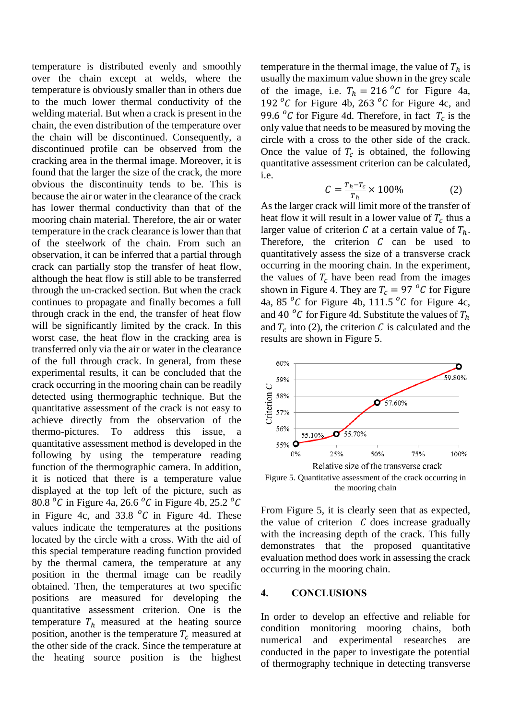temperature is distributed evenly and smoothly over the chain except at welds, where the temperature is obviously smaller than in others due to the much lower thermal conductivity of the welding material. But when a crack is present in the chain, the even distribution of the temperature over the chain will be discontinued. Consequently, a discontinued profile can be observed from the cracking area in the thermal image. Moreover, it is found that the larger the size of the crack, the more obvious the discontinuity tends to be. This is because the air or water in the clearance of the crack has lower thermal conductivity than that of the mooring chain material. Therefore, the air or water temperature in the crack clearance is lower than that of the steelwork of the chain. From such an observation, it can be inferred that a partial through crack can partially stop the transfer of heat flow, although the heat flow is still able to be transferred through the un-cracked section. But when the crack continues to propagate and finally becomes a full through crack in the end, the transfer of heat flow will be significantly limited by the crack. In this worst case, the heat flow in the cracking area is transferred only via the air or water in the clearance of the full through crack. In general, from these experimental results, it can be concluded that the crack occurring in the mooring chain can be readily detected using thermographic technique. But the quantitative assessment of the crack is not easy to achieve directly from the observation of the thermo-pictures. To address this issue, a quantitative assessment method is developed in the following by using the temperature reading function of the thermographic camera. In addition, it is noticed that there is a temperature value displayed at the top left of the picture, such as 80.8  $\degree$ C in Figure 4a, 26.6  $\degree$ C in Figure 4b, 25.2  $\degree$ C in Figure 4c, and 33.8  $^{\circ}$ C in Figure 4d. These values indicate the temperatures at the positions located by the circle with a cross. With the aid of this special temperature reading function provided by the thermal camera, the temperature at any position in the thermal image can be readily obtained. Then, the temperatures at two specific positions are measured for developing the quantitative assessment criterion. One is the temperature  $T_h$  measured at the heating source position, another is the temperature  $T_c$  measured at the other side of the crack. Since the temperature at the heating source position is the highest

temperature in the thermal image, the value of  $T_h$  is usually the maximum value shown in the grey scale of the image, i.e.  $T_h = 216 \degree C$  for Figure 4a, 192 $\mathrm{^0}$ C for Figure 4b, 263 $\mathrm{^0}$ C for Figure 4c, and 99.6  $\degree$ C for Figure 4d. Therefore, in fact  $T_c$  is the only value that needs to be measured by moving the circle with a cross to the other side of the crack. Once the value of  $T_c$  is obtained, the following quantitative assessment criterion can be calculated, i.e.

$$
C = \frac{T_h - T_c}{T_h} \times 100\% \tag{2}
$$

As the larger crack will limit more of the transfer of heat flow it will result in a lower value of  $T_c$  thus a larger value of criterion C at a certain value of  $T_h$ . Therefore, the criterion  $C$  can be used to quantitatively assess the size of a transverse crack occurring in the mooring chain. In the experiment, the values of  $T_c$  have been read from the images shown in Figure 4. They are  $T_c = 97 \degree C$  for Figure 4a, 85 $\mathrm{^0}$ C for Figure 4b, 111.5 $\mathrm{^0}$ C for Figure 4c, and 40  $^oC$  for Figure 4d. Substitute the values of  $T_h$ and  $T_c$  into (2), the criterion C is calculated and the results are shown in Figure 5.



Figure 5. Quantitative assessment of the crack occurring in the mooring chain

From Figure 5, it is clearly seen that as expected, the value of criterion  $C$  does increase gradually with the increasing depth of the crack. This fully demonstrates that the proposed quantitative evaluation method does work in assessing the crack occurring in the mooring chain.

#### **4. CONCLUSIONS**

In order to develop an effective and reliable for condition monitoring mooring chains, both numerical and experimental researches are conducted in the paper to investigate the potential of thermography technique in detecting transverse